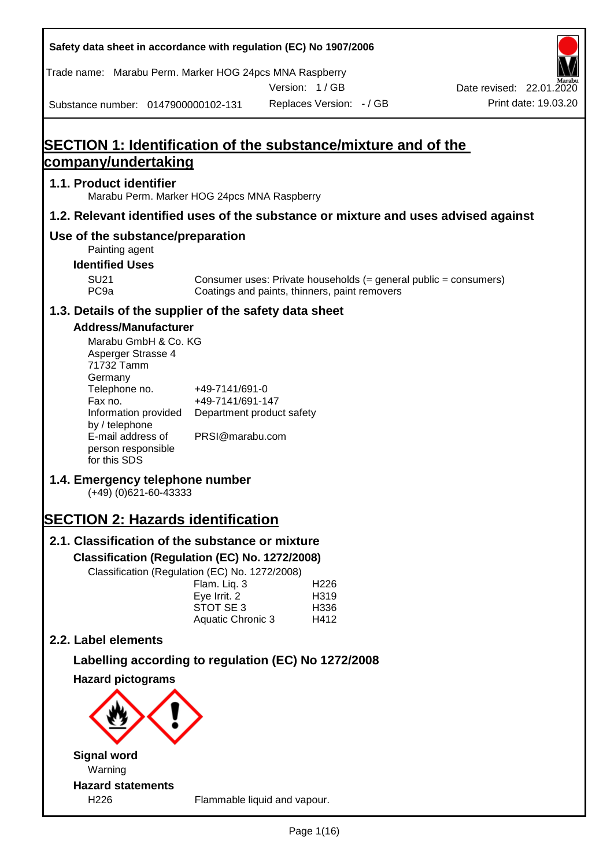**Safety data sheet in accordance with regulation (EC) No 1907/2006** Substance number: 0147900000102-131 Version: 1 / GB Replaces Version: - / GB Print date: 19.03.20 Date revised: 22.01.2020 Trade name: Marabu Perm. Marker HOG 24pcs MNA Raspberry **SECTION 1: Identification of the substance/mixture and of the company/undertaking 1.1. Product identifier** Marabu Perm. Marker HOG 24pcs MNA Raspberry **1.2. Relevant identified uses of the substance or mixture and uses advised against Use of the substance/preparation** Painting agent **Identified Uses** SU21 Consumer uses: Private households (= general public = consumers)<br>PC9a Coatings and paints, thinners, paint removers Coatings and paints, thinners, paint removers **1.3. Details of the supplier of the safety data sheet Address/Manufacturer** Marabu GmbH & Co. KG Asperger Strasse 4 71732 Tamm **Germany** Telephone no. +49-7141/691-0 Fax no.  $+49-7141/691-147$ Information provided Department product safety by / telephone E-mail address of person responsible for this SDS PRSI@marabu.com **1.4. Emergency telephone number** (+49) (0)621-60-43333 **SECTION 2: Hazards identification 2.1. Classification of the substance or mixture Classification (Regulation (EC) No. 1272/2008)** Classification (Regulation (EC) No. 1272/2008) Flam. Liq. 3 H226 Eye Irrit. 2 H319 STOT SE 3 H336 Aquatic Chronic 3 H412 **2.2. Label elements Labelling according to regulation (EC) No 1272/2008 Hazard pictograms Signal word** Warning **Hazard statements**

H226 Flammable liquid and vapour.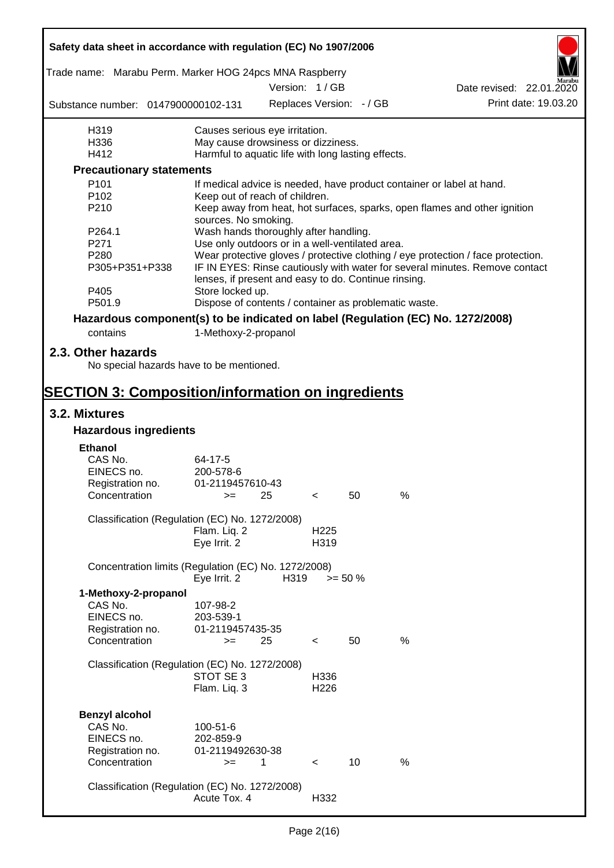| Safety data sheet in accordance with regulation (EC) No 1907/2006               |                                                       |      |                          |                          |      |                                                                                  |
|---------------------------------------------------------------------------------|-------------------------------------------------------|------|--------------------------|--------------------------|------|----------------------------------------------------------------------------------|
| Trade name: Marabu Perm. Marker HOG 24pcs MNA Raspberry                         |                                                       |      | Version: 1 / GB          |                          |      | Date revised: 22.01.2020                                                         |
| Substance number: 0147900000102-131                                             |                                                       |      |                          | Replaces Version: - / GB |      | Print date: 19.03.20                                                             |
| H319                                                                            | Causes serious eye irritation.                        |      |                          |                          |      |                                                                                  |
| H336                                                                            | May cause drowsiness or dizziness.                    |      |                          |                          |      |                                                                                  |
| H412                                                                            | Harmful to aquatic life with long lasting effects.    |      |                          |                          |      |                                                                                  |
| <b>Precautionary statements</b>                                                 |                                                       |      |                          |                          |      |                                                                                  |
| P <sub>101</sub>                                                                |                                                       |      |                          |                          |      | If medical advice is needed, have product container or label at hand.            |
| P <sub>102</sub>                                                                | Keep out of reach of children.                        |      |                          |                          |      |                                                                                  |
| P210                                                                            | sources. No smoking.                                  |      |                          |                          |      | Keep away from heat, hot surfaces, sparks, open flames and other ignition        |
| P264.1                                                                          | Wash hands thoroughly after handling.                 |      |                          |                          |      |                                                                                  |
| P271                                                                            | Use only outdoors or in a well-ventilated area.       |      |                          |                          |      |                                                                                  |
| P280                                                                            |                                                       |      |                          |                          |      | Wear protective gloves / protective clothing / eye protection / face protection. |
| P305+P351+P338                                                                  | lenses, if present and easy to do. Continue rinsing.  |      |                          |                          |      | IF IN EYES: Rinse cautiously with water for several minutes. Remove contact      |
| P405                                                                            | Store locked up.                                      |      |                          |                          |      |                                                                                  |
| P501.9                                                                          | Dispose of contents / container as problematic waste. |      |                          |                          |      |                                                                                  |
| Hazardous component(s) to be indicated on label (Regulation (EC) No. 1272/2008) |                                                       |      |                          |                          |      |                                                                                  |
| contains                                                                        | 1-Methoxy-2-propanol                                  |      |                          |                          |      |                                                                                  |
|                                                                                 |                                                       |      |                          |                          |      |                                                                                  |
| 2.3. Other hazards<br>No special hazards have to be mentioned.                  |                                                       |      |                          |                          |      |                                                                                  |
| <b>SECTION 3: Composition/information on ingredients</b>                        |                                                       |      |                          |                          |      |                                                                                  |
| 3.2. Mixtures                                                                   |                                                       |      |                          |                          |      |                                                                                  |
| <b>Hazardous ingredients</b>                                                    |                                                       |      |                          |                          |      |                                                                                  |
|                                                                                 |                                                       |      |                          |                          |      |                                                                                  |
| <b>Ethanol</b>                                                                  |                                                       |      |                          |                          |      |                                                                                  |
| CAS No.                                                                         | 64-17-5                                               |      |                          |                          |      |                                                                                  |
| EINECS no.                                                                      | 200-578-6                                             |      |                          |                          |      |                                                                                  |
| Registration no.                                                                | 01-2119457610-43                                      |      |                          |                          |      |                                                                                  |
| Concentration                                                                   | $>=$                                                  | 25   | $\sim$                   | 50                       | %    |                                                                                  |
| Classification (Regulation (EC) No. 1272/2008)                                  |                                                       |      |                          |                          |      |                                                                                  |
|                                                                                 | Flam. Liq. 2                                          |      | H <sub>225</sub>         |                          |      |                                                                                  |
|                                                                                 | Eye Irrit. 2                                          |      | H319                     |                          |      |                                                                                  |
|                                                                                 |                                                       |      |                          |                          |      |                                                                                  |
| Concentration limits (Regulation (EC) No. 1272/2008)                            | Eye Irrit. 2                                          | H319 |                          | $>= 50 \%$               |      |                                                                                  |
| 1-Methoxy-2-propanol                                                            |                                                       |      |                          |                          |      |                                                                                  |
| CAS No.                                                                         | 107-98-2                                              |      |                          |                          |      |                                                                                  |
| EINECS no.                                                                      | 203-539-1                                             |      |                          |                          |      |                                                                                  |
| Registration no.                                                                | 01-2119457435-35                                      |      |                          |                          |      |                                                                                  |
| Concentration                                                                   | $>=$                                                  | 25   | $\,<\,$                  | 50                       | %    |                                                                                  |
| Classification (Regulation (EC) No. 1272/2008)                                  |                                                       |      |                          |                          |      |                                                                                  |
|                                                                                 | STOT SE 3                                             |      | H336                     |                          |      |                                                                                  |
|                                                                                 | Flam. Liq. 3                                          |      | H <sub>226</sub>         |                          |      |                                                                                  |
|                                                                                 |                                                       |      |                          |                          |      |                                                                                  |
| <b>Benzyl alcohol</b>                                                           |                                                       |      |                          |                          |      |                                                                                  |
| CAS No.                                                                         | 100-51-6                                              |      |                          |                          |      |                                                                                  |
| EINECS no.                                                                      | 202-859-9                                             |      |                          |                          |      |                                                                                  |
| Registration no.                                                                | 01-2119492630-38                                      |      |                          |                          |      |                                                                                  |
| Concentration                                                                   | $>=$                                                  | 1    | $\overline{\phantom{0}}$ | 10                       | $\%$ |                                                                                  |
|                                                                                 |                                                       |      |                          |                          |      |                                                                                  |
| Classification (Regulation (EC) No. 1272/2008)                                  |                                                       |      |                          |                          |      |                                                                                  |
|                                                                                 | Acute Tox. 4                                          |      | H332                     |                          |      |                                                                                  |
|                                                                                 |                                                       |      |                          |                          |      |                                                                                  |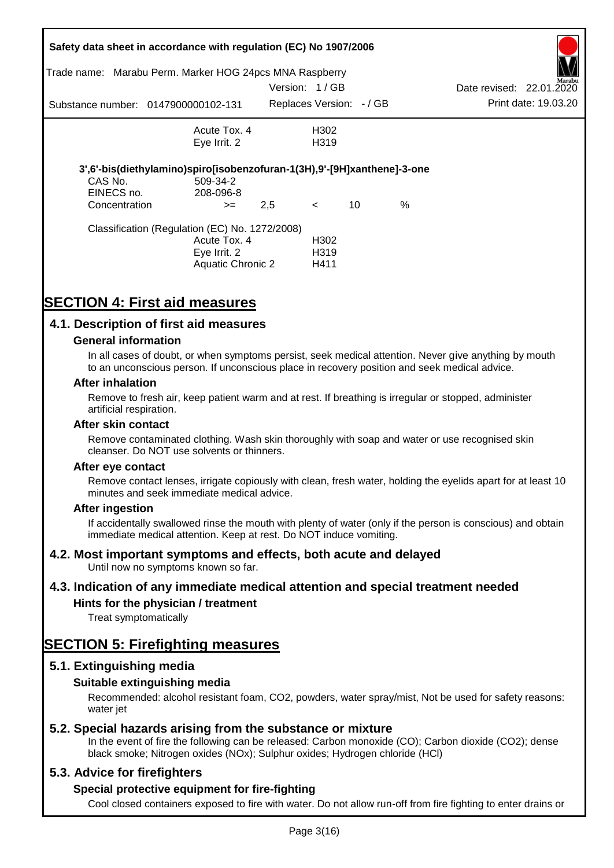|               | Safety data sheet in accordance with regulation (EC) No 1907/2006       |                          |                   |    |      |                          |                      |
|---------------|-------------------------------------------------------------------------|--------------------------|-------------------|----|------|--------------------------|----------------------|
| Trade name:   | Marabu Perm. Marker HOG 24pcs MNA Raspberry                             |                          |                   |    |      |                          | Marabu               |
|               |                                                                         | Version: 1/GB            |                   |    |      | Date revised: 22.01.2020 |                      |
|               | Substance number: 0147900000102-131                                     | Replaces Version: - / GB |                   |    |      |                          | Print date: 19.03.20 |
|               | Acute Tox. 4                                                            |                          | H302              |    |      |                          |                      |
|               | Eye Irrit. 2                                                            |                          | H <sub>3</sub> 19 |    |      |                          |                      |
|               | 3',6'-bis(diethylamino)spiro[isobenzofuran-1(3H),9'-[9H]xanthene]-3-one |                          |                   |    |      |                          |                      |
| CAS No.       | 509-34-2                                                                |                          |                   |    |      |                          |                      |
| EINECS no.    | 208-096-8                                                               |                          |                   |    |      |                          |                      |
| Concentration | $>=$                                                                    | 2,5                      | $\prec$           | 10 | $\%$ |                          |                      |
|               | Classification (Regulation (EC) No. 1272/2008)                          |                          |                   |    |      |                          |                      |
|               | Acute Tox. 4                                                            |                          | H302              |    |      |                          |                      |
|               | Eye Irrit. 2                                                            |                          | H <sub>3</sub> 19 |    |      |                          |                      |
|               | Aquatic Chronic 2                                                       |                          | H411              |    |      |                          |                      |

# **SECTION 4: First aid measures**

# **4.1. Description of first aid measures**

### **General information**

In all cases of doubt, or when symptoms persist, seek medical attention. Never give anything by mouth to an unconscious person. If unconscious place in recovery position and seek medical advice.

#### **After inhalation**

Remove to fresh air, keep patient warm and at rest. If breathing is irregular or stopped, administer artificial respiration.

#### **After skin contact**

Remove contaminated clothing. Wash skin thoroughly with soap and water or use recognised skin cleanser. Do NOT use solvents or thinners.

#### **After eye contact**

Remove contact lenses, irrigate copiously with clean, fresh water, holding the eyelids apart for at least 10 minutes and seek immediate medical advice.

#### **After ingestion**

If accidentally swallowed rinse the mouth with plenty of water (only if the person is conscious) and obtain immediate medical attention. Keep at rest. Do NOT induce vomiting.

# **4.2. Most important symptoms and effects, both acute and delayed**

Until now no symptoms known so far.

# **4.3. Indication of any immediate medical attention and special treatment needed**

# **Hints for the physician / treatment**

Treat symptomatically

# **SECTION 5: Firefighting measures**

# **5.1. Extinguishing media**

# **Suitable extinguishing media**

Recommended: alcohol resistant foam, CO2, powders, water spray/mist, Not be used for safety reasons: water *iet* 

# **5.2. Special hazards arising from the substance or mixture**

In the event of fire the following can be released: Carbon monoxide (CO); Carbon dioxide (CO2); dense black smoke; Nitrogen oxides (NOx); Sulphur oxides; Hydrogen chloride (HCl)

# **5.3. Advice for firefighters**

# **Special protective equipment for fire-fighting**

Cool closed containers exposed to fire with water. Do not allow run-off from fire fighting to enter drains or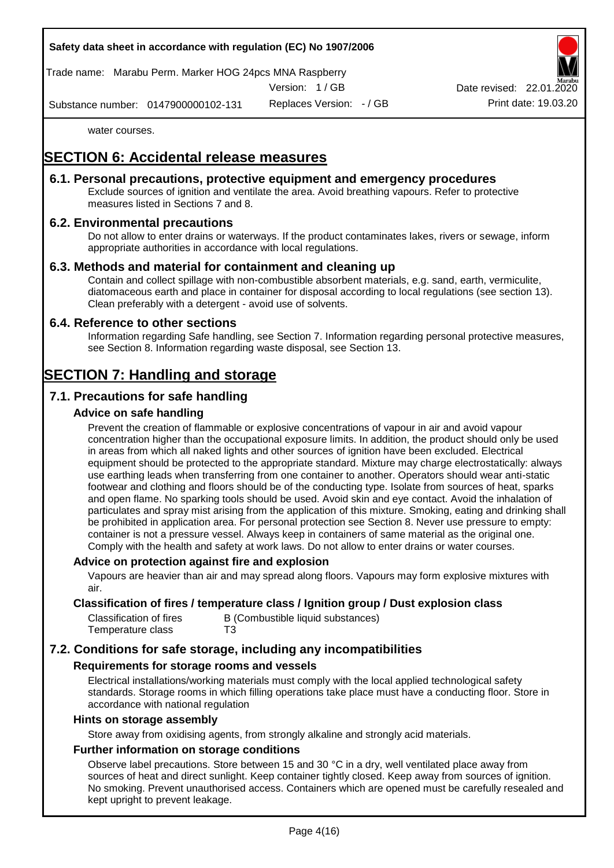

Trade name: Marabu Perm. Marker HOG 24pcs MNA Raspberry

Version: 1 / GB

Replaces Version: - / GB Print date: 19.03.20 Date revised: 22.01.

Substance number: 0147900000102-131

water courses.

# **SECTION 6: Accidental release measures**

# **6.1. Personal precautions, protective equipment and emergency procedures**

Exclude sources of ignition and ventilate the area. Avoid breathing vapours. Refer to protective measures listed in Sections 7 and 8.

# **6.2. Environmental precautions**

Do not allow to enter drains or waterways. If the product contaminates lakes, rivers or sewage, inform appropriate authorities in accordance with local regulations.

# **6.3. Methods and material for containment and cleaning up**

Contain and collect spillage with non-combustible absorbent materials, e.g. sand, earth, vermiculite, diatomaceous earth and place in container for disposal according to local regulations (see section 13). Clean preferably with a detergent - avoid use of solvents.

# **6.4. Reference to other sections**

Information regarding Safe handling, see Section 7. Information regarding personal protective measures, see Section 8. Information regarding waste disposal, see Section 13.

# **SECTION 7: Handling and storage**

# **7.1. Precautions for safe handling**

# **Advice on safe handling**

Prevent the creation of flammable or explosive concentrations of vapour in air and avoid vapour concentration higher than the occupational exposure limits. In addition, the product should only be used in areas from which all naked lights and other sources of ignition have been excluded. Electrical equipment should be protected to the appropriate standard. Mixture may charge electrostatically: always use earthing leads when transferring from one container to another. Operators should wear anti-static footwear and clothing and floors should be of the conducting type. Isolate from sources of heat, sparks and open flame. No sparking tools should be used. Avoid skin and eye contact. Avoid the inhalation of particulates and spray mist arising from the application of this mixture. Smoking, eating and drinking shall be prohibited in application area. For personal protection see Section 8. Never use pressure to empty: container is not a pressure vessel. Always keep in containers of same material as the original one. Comply with the health and safety at work laws. Do not allow to enter drains or water courses.

# **Advice on protection against fire and explosion**

Vapours are heavier than air and may spread along floors. Vapours may form explosive mixtures with air.

### **Classification of fires / temperature class / Ignition group / Dust explosion class**

| Classification of fires | B (Combustible liquid substances) |
|-------------------------|-----------------------------------|
| Temperature class       | T3                                |

# **7.2. Conditions for safe storage, including any incompatibilities**

# **Requirements for storage rooms and vessels**

Electrical installations/working materials must comply with the local applied technological safety standards. Storage rooms in which filling operations take place must have a conducting floor. Store in accordance with national regulation

#### **Hints on storage assembly**

Store away from oxidising agents, from strongly alkaline and strongly acid materials.

# **Further information on storage conditions**

Observe label precautions. Store between 15 and 30 °C in a dry, well ventilated place away from sources of heat and direct sunlight. Keep container tightly closed. Keep away from sources of ignition. No smoking. Prevent unauthorised access. Containers which are opened must be carefully resealed and kept upright to prevent leakage.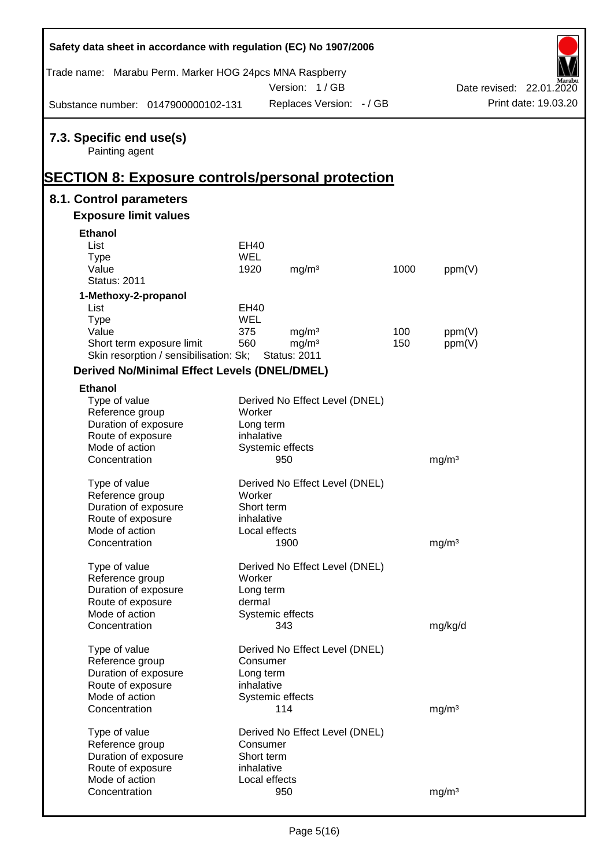| Safety data sheet in accordance with regulation (EC) No 1907/2006                  |            |                                |      |                   |                          |
|------------------------------------------------------------------------------------|------------|--------------------------------|------|-------------------|--------------------------|
| Trade name: Marabu Perm. Marker HOG 24pcs MNA Raspberry                            |            | Version: 1/GB                  |      |                   | Date revised: 22.01.2020 |
| Substance number: 0147900000102-131                                                |            | Replaces Version: - / GB       |      |                   | Print date: 19.03.20     |
| 7.3. Specific end use(s)<br>Painting agent                                         |            |                                |      |                   |                          |
| <b>SECTION 8: Exposure controls/personal protection</b><br>8.1. Control parameters |            |                                |      |                   |                          |
| <b>Exposure limit values</b>                                                       |            |                                |      |                   |                          |
| <b>Ethanol</b>                                                                     |            |                                |      |                   |                          |
| List                                                                               | EH40       |                                |      |                   |                          |
| <b>Type</b>                                                                        | <b>WEL</b> |                                |      |                   |                          |
| Value                                                                              | 1920       | mg/m <sup>3</sup>              | 1000 | ppm(V)            |                          |
| <b>Status: 2011</b>                                                                |            |                                |      |                   |                          |
| 1-Methoxy-2-propanol                                                               |            |                                |      |                   |                          |
| List                                                                               | EH40       |                                |      |                   |                          |
| <b>Type</b>                                                                        | WEL        |                                |      |                   |                          |
| Value                                                                              | 375        | mg/m <sup>3</sup>              | 100  | ppm(V)            |                          |
| Short term exposure limit                                                          | 560        | mg/m <sup>3</sup>              | 150  | ppm(V)            |                          |
| Skin resorption / sensibilisation: Sk;                                             |            | <b>Status: 2011</b>            |      |                   |                          |
| <b>Derived No/Minimal Effect Levels (DNEL/DMEL)</b>                                |            |                                |      |                   |                          |
| <b>Ethanol</b>                                                                     |            |                                |      |                   |                          |
| Type of value                                                                      |            | Derived No Effect Level (DNEL) |      |                   |                          |
| Reference group                                                                    | Worker     |                                |      |                   |                          |
| Duration of exposure                                                               | Long term  |                                |      |                   |                          |
| Route of exposure                                                                  | inhalative |                                |      |                   |                          |
| Mode of action                                                                     |            | Systemic effects               |      |                   |                          |
| Concentration                                                                      |            | 950                            |      | mg/m <sup>3</sup> |                          |
| Type of value                                                                      |            | Derived No Effect Level (DNEL) |      |                   |                          |
| Reference group                                                                    | Worker     |                                |      |                   |                          |
| Duration of exposure                                                               | Short term |                                |      |                   |                          |
| Route of exposure                                                                  | inhalative |                                |      |                   |                          |
| Mode of action                                                                     |            | Local effects                  |      |                   |                          |
| Concentration                                                                      |            | 1900                           |      | mg/m <sup>3</sup> |                          |
|                                                                                    |            |                                |      |                   |                          |
| Type of value                                                                      |            | Derived No Effect Level (DNEL) |      |                   |                          |
| Reference group                                                                    | Worker     |                                |      |                   |                          |
| Duration of exposure                                                               | Long term  |                                |      |                   |                          |
| Route of exposure                                                                  | dermal     |                                |      |                   |                          |
| Mode of action                                                                     |            | Systemic effects               |      |                   |                          |
| Concentration                                                                      |            | 343                            |      | mg/kg/d           |                          |
| Type of value                                                                      |            | Derived No Effect Level (DNEL) |      |                   |                          |
| Reference group                                                                    | Consumer   |                                |      |                   |                          |
| Duration of exposure                                                               | Long term  |                                |      |                   |                          |
| Route of exposure                                                                  | inhalative |                                |      |                   |                          |
| Mode of action                                                                     |            | Systemic effects               |      |                   |                          |
| Concentration                                                                      |            | 114                            |      | mg/m <sup>3</sup> |                          |
|                                                                                    |            |                                |      |                   |                          |
| Type of value                                                                      |            | Derived No Effect Level (DNEL) |      |                   |                          |
| Reference group                                                                    | Consumer   |                                |      |                   |                          |
| Duration of exposure                                                               | Short term |                                |      |                   |                          |
| Route of exposure<br>Mode of action                                                | inhalative | Local effects                  |      |                   |                          |
| Concentration                                                                      |            | 950                            |      | mg/m <sup>3</sup> |                          |
|                                                                                    |            |                                |      |                   |                          |

Ī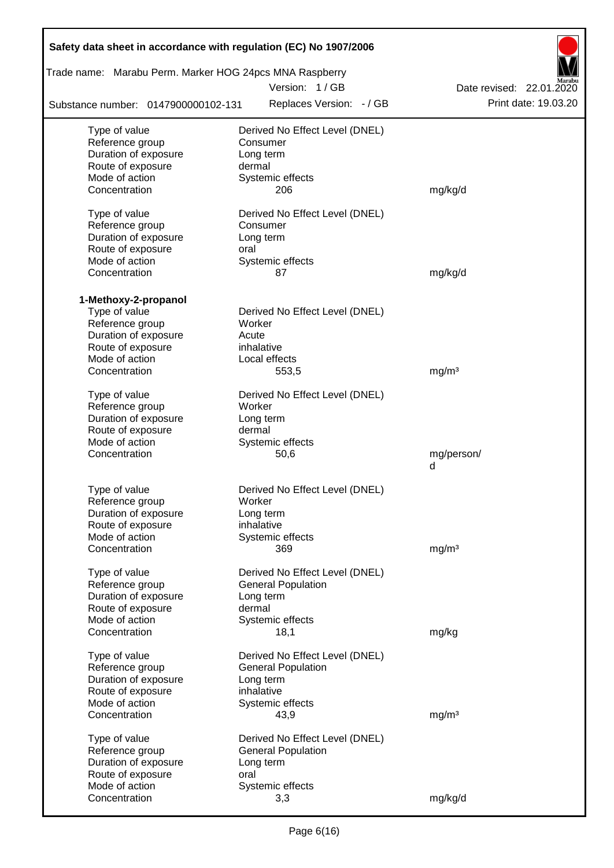| Safety data sheet in accordance with regulation (EC) No 1907/2006 |                                |                          |
|-------------------------------------------------------------------|--------------------------------|--------------------------|
| Trade name: Marabu Perm. Marker HOG 24pcs MNA Raspberry           | Version: 1/GB                  | Date revised: 22.01.2020 |
| Substance number: 0147900000102-131                               | Replaces Version: - / GB       | Print date: 19.03.20     |
| Type of value                                                     | Derived No Effect Level (DNEL) |                          |
| Reference group                                                   | Consumer                       |                          |
| Duration of exposure                                              | Long term                      |                          |
| Route of exposure                                                 | dermal                         |                          |
| Mode of action                                                    | Systemic effects               |                          |
| Concentration                                                     | 206                            | mg/kg/d                  |
| Type of value                                                     | Derived No Effect Level (DNEL) |                          |
| Reference group                                                   | Consumer                       |                          |
| Duration of exposure                                              | Long term                      |                          |
| Route of exposure                                                 | oral                           |                          |
| Mode of action                                                    | Systemic effects               |                          |
| Concentration                                                     | 87                             | mg/kg/d                  |
|                                                                   |                                |                          |
| 1-Methoxy-2-propanol<br>Type of value                             | Derived No Effect Level (DNEL) |                          |
| Reference group                                                   | Worker                         |                          |
| Duration of exposure                                              | Acute                          |                          |
| Route of exposure                                                 | inhalative                     |                          |
| Mode of action                                                    | Local effects                  |                          |
| Concentration                                                     | 553,5                          | mg/m <sup>3</sup>        |
|                                                                   |                                |                          |
| Type of value                                                     | Derived No Effect Level (DNEL) |                          |
| Reference group                                                   | Worker                         |                          |
| Duration of exposure                                              | Long term                      |                          |
| Route of exposure                                                 | dermal                         |                          |
| Mode of action                                                    | Systemic effects               |                          |
| Concentration                                                     | 50,6                           | mg/person/<br>d          |
|                                                                   |                                |                          |
| Type of value                                                     | Derived No Effect Level (DNEL) |                          |
| Reference group                                                   | Worker                         |                          |
| Duration of exposure                                              | Long term                      |                          |
| Route of exposure                                                 | inhalative                     |                          |
| Mode of action                                                    | Systemic effects               |                          |
| Concentration                                                     | 369                            | mg/m <sup>3</sup>        |
| Type of value                                                     | Derived No Effect Level (DNEL) |                          |
| Reference group                                                   | <b>General Population</b>      |                          |
| Duration of exposure                                              | Long term                      |                          |
| Route of exposure                                                 | dermal                         |                          |
| Mode of action                                                    | Systemic effects               |                          |
| Concentration                                                     | 18,1                           | mg/kg                    |
|                                                                   |                                |                          |
| Type of value                                                     | Derived No Effect Level (DNEL) |                          |
| Reference group                                                   | <b>General Population</b>      |                          |
| Duration of exposure                                              | Long term<br>inhalative        |                          |
| Route of exposure<br>Mode of action                               |                                |                          |
| Concentration                                                     | Systemic effects<br>43,9       | mg/m <sup>3</sup>        |
|                                                                   |                                |                          |
| Type of value                                                     | Derived No Effect Level (DNEL) |                          |
| Reference group                                                   | <b>General Population</b>      |                          |
| Duration of exposure                                              | Long term                      |                          |
| Route of exposure                                                 | oral                           |                          |
| Mode of action                                                    | Systemic effects               |                          |
| Concentration                                                     | 3,3                            | mg/kg/d                  |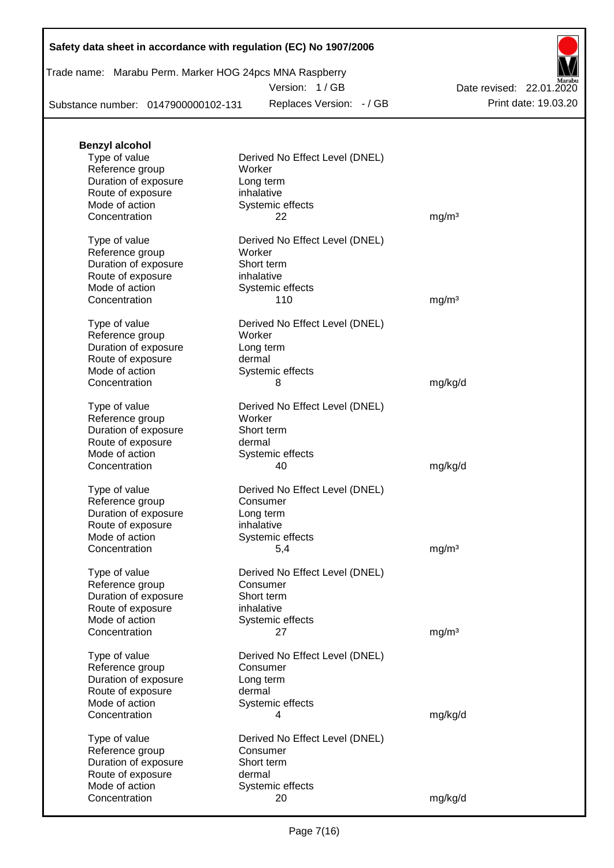Trade name: Marabu Perm. Marker HOG 24pcs MNA Raspberry

Version: 1 / GB

Substance number: 0147900000102-131

Replaces Version: - / GB Print date: 19.03.20 Date revised: 22.01.2020

| <b>Benzyl alcohol</b> |                                |                   |
|-----------------------|--------------------------------|-------------------|
| Type of value         | Derived No Effect Level (DNEL) |                   |
| Reference group       | Worker                         |                   |
| Duration of exposure  | Long term                      |                   |
| Route of exposure     | inhalative                     |                   |
| Mode of action        | Systemic effects               |                   |
| Concentration         | 22                             | mg/m <sup>3</sup> |
|                       |                                |                   |
| Type of value         | Derived No Effect Level (DNEL) |                   |
| Reference group       | Worker                         |                   |
| Duration of exposure  | Short term                     |                   |
| Route of exposure     | inhalative                     |                   |
| Mode of action        | Systemic effects               |                   |
| Concentration         | 110                            | mg/m <sup>3</sup> |
|                       |                                |                   |
| Type of value         | Derived No Effect Level (DNEL) |                   |
| Reference group       | Worker                         |                   |
| Duration of exposure  | Long term                      |                   |
|                       |                                |                   |
| Route of exposure     | dermal                         |                   |
| Mode of action        | Systemic effects               |                   |
| Concentration         | 8                              | mg/kg/d           |
|                       |                                |                   |
| Type of value         | Derived No Effect Level (DNEL) |                   |
| Reference group       | Worker                         |                   |
| Duration of exposure  | Short term                     |                   |
| Route of exposure     | dermal                         |                   |
| Mode of action        | Systemic effects               |                   |
| Concentration         | 40                             | mg/kg/d           |
|                       |                                |                   |
| Type of value         | Derived No Effect Level (DNEL) |                   |
| Reference group       | Consumer                       |                   |
| Duration of exposure  | Long term                      |                   |
| Route of exposure     | inhalative                     |                   |
| Mode of action        | Systemic effects               |                   |
| Concentration         | 5,4                            | mg/m <sup>3</sup> |
|                       |                                |                   |
| Type of value         | Derived No Effect Level (DNEL) |                   |
| Reference group       | Consumer                       |                   |
| Duration of exposure  | Short term                     |                   |
| Route of exposure     | inhalative                     |                   |
| Mode of action        | Systemic effects               |                   |
| Concentration         | 27                             | mg/m <sup>3</sup> |
|                       |                                |                   |
| Type of value         | Derived No Effect Level (DNEL) |                   |
| Reference group       | Consumer                       |                   |
| Duration of exposure  | Long term                      |                   |
| Route of exposure     | dermal                         |                   |
| Mode of action        | Systemic effects               |                   |
| Concentration         | 4                              | mg/kg/d           |
|                       |                                |                   |
| Type of value         | Derived No Effect Level (DNEL) |                   |
| Reference group       | Consumer                       |                   |
| Duration of exposure  | Short term                     |                   |
| Route of exposure     | dermal                         |                   |
| Mode of action        |                                |                   |
|                       | Systemic effects               |                   |
| Concentration         | 20                             | mg/kg/d           |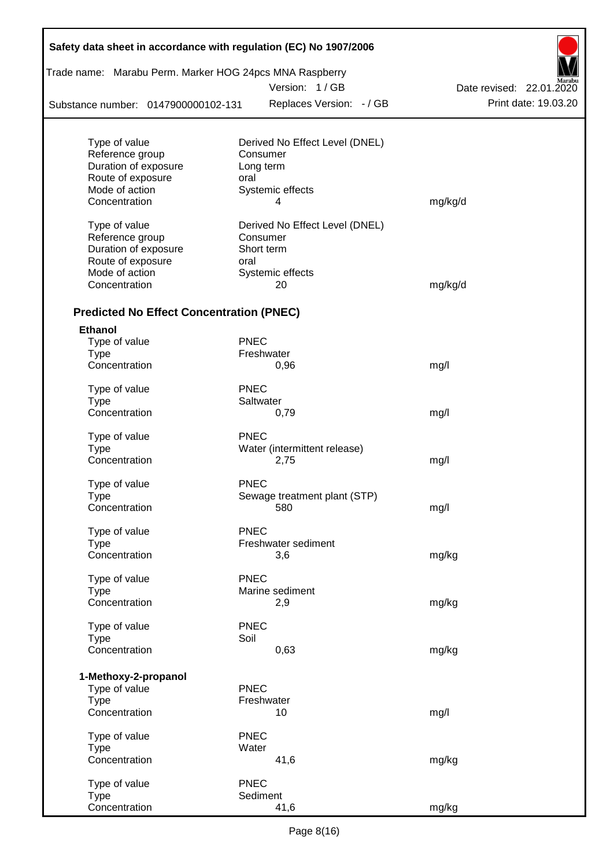| Trade name: Marabu Perm. Marker HOG 24pcs MNA Raspberry |             |                                |                          |  |
|---------------------------------------------------------|-------------|--------------------------------|--------------------------|--|
|                                                         |             | Version: 1/GB                  | Date revised: 22.01.2020 |  |
| Substance number: 0147900000102-131                     |             | Replaces Version: - / GB       | Print date: 19.03.20     |  |
| Type of value                                           |             | Derived No Effect Level (DNEL) |                          |  |
| Reference group                                         |             | Consumer                       |                          |  |
| Duration of exposure                                    |             | Long term                      |                          |  |
| Route of exposure                                       | oral        |                                |                          |  |
| Mode of action                                          |             | Systemic effects               |                          |  |
| Concentration                                           |             | 4                              | mg/kg/d                  |  |
| Type of value                                           |             | Derived No Effect Level (DNEL) |                          |  |
| Reference group                                         |             | Consumer                       |                          |  |
| Duration of exposure                                    |             | Short term                     |                          |  |
| Route of exposure                                       | oral        |                                |                          |  |
| Mode of action                                          |             | Systemic effects               |                          |  |
| Concentration                                           |             | 20                             | mg/kg/d                  |  |
| <b>Predicted No Effect Concentration (PNEC)</b>         |             |                                |                          |  |
| <b>Ethanol</b>                                          |             |                                |                          |  |
| Type of value                                           | <b>PNEC</b> |                                |                          |  |
| <b>Type</b>                                             |             | Freshwater                     |                          |  |
| Concentration                                           |             | 0,96                           | mg/l                     |  |
| Type of value                                           | <b>PNEC</b> |                                |                          |  |
| <b>Type</b>                                             |             | Saltwater                      |                          |  |
| Concentration                                           |             | 0,79                           | mg/l                     |  |
| Type of value                                           | <b>PNEC</b> |                                |                          |  |
| Type                                                    |             | Water (intermittent release)   |                          |  |
| Concentration                                           |             | 2,75                           | mg/l                     |  |
| Type of value                                           | <b>PNEC</b> |                                |                          |  |
| Type                                                    |             | Sewage treatment plant (STP)   |                          |  |
| Concentration                                           |             | 580                            | mg/l                     |  |
| Type of value                                           | <b>PNEC</b> |                                |                          |  |
| Type                                                    |             | Freshwater sediment            |                          |  |
| Concentration                                           |             | 3,6                            | mg/kg                    |  |
| Type of value                                           | <b>PNEC</b> |                                |                          |  |
| Type                                                    |             | Marine sediment                |                          |  |
| Concentration                                           |             | 2,9                            | mg/kg                    |  |
| Type of value                                           | <b>PNEC</b> |                                |                          |  |
| <b>Type</b>                                             | Soil        |                                |                          |  |
| Concentration                                           |             | 0,63                           | mg/kg                    |  |
| 1-Methoxy-2-propanol                                    |             |                                |                          |  |
| Type of value                                           | <b>PNEC</b> |                                |                          |  |
| <b>Type</b>                                             |             | Freshwater                     |                          |  |
| Concentration                                           |             | 10                             | mg/l                     |  |
| Type of value                                           | <b>PNEC</b> |                                |                          |  |
| <b>Type</b>                                             | Water       |                                |                          |  |
| Concentration                                           |             | 41,6                           | mg/kg                    |  |
| Type of value                                           | <b>PNEC</b> |                                |                          |  |
| <b>Type</b>                                             |             | Sediment                       |                          |  |
| Concentration                                           |             | 41,6                           | mg/kg                    |  |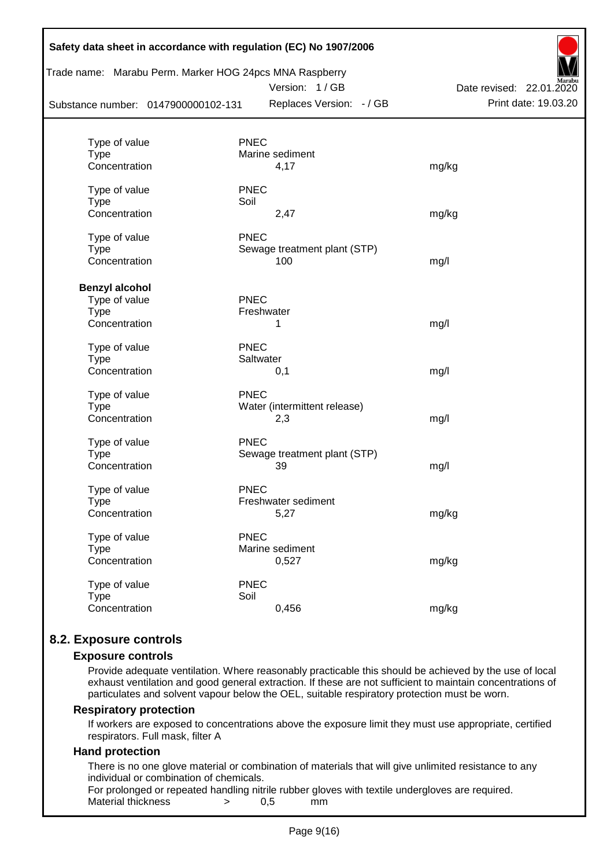|                                     |             | Trade name: Marabu Perm. Marker HOG 24pcs MNA Raspberry<br>Version: 1/GB | Date revised: 22.01.2020 |
|-------------------------------------|-------------|--------------------------------------------------------------------------|--------------------------|
| Substance number: 0147900000102-131 |             | Replaces Version: - / GB                                                 | Print date: 19.03.20     |
| Type of value                       | <b>PNEC</b> |                                                                          |                          |
| <b>Type</b>                         |             | Marine sediment                                                          |                          |
| Concentration                       |             | 4,17                                                                     | mg/kg                    |
| Type of value                       | <b>PNEC</b> |                                                                          |                          |
| <b>Type</b>                         | Soil        |                                                                          |                          |
| Concentration                       |             | 2,47                                                                     | mg/kg                    |
| Type of value                       | <b>PNEC</b> |                                                                          |                          |
| <b>Type</b>                         |             | Sewage treatment plant (STP)                                             |                          |
| Concentration                       |             | 100                                                                      | mg/l                     |
| <b>Benzyl alcohol</b>               |             |                                                                          |                          |
| Type of value                       | <b>PNEC</b> |                                                                          |                          |
| <b>Type</b>                         |             | Freshwater                                                               |                          |
| Concentration                       |             | 1                                                                        | mg/l                     |
| Type of value                       | <b>PNEC</b> |                                                                          |                          |
| <b>Type</b>                         |             | Saltwater                                                                |                          |
| Concentration                       |             | 0,1                                                                      | mg/l                     |
| Type of value                       | <b>PNEC</b> |                                                                          |                          |
| <b>Type</b>                         |             | Water (intermittent release)                                             |                          |
| Concentration                       |             | 2,3                                                                      | mg/l                     |
| Type of value                       | <b>PNEC</b> |                                                                          |                          |
| <b>Type</b>                         |             | Sewage treatment plant (STP)                                             |                          |
| Concentration                       |             | 39                                                                       | mg/l                     |
| Type of value                       | <b>PNEC</b> |                                                                          |                          |
| Type                                |             | Freshwater sediment                                                      |                          |
| Concentration                       |             | 5,27                                                                     | mg/kg                    |
| Type of value                       | <b>PNEC</b> |                                                                          |                          |
| <b>Type</b>                         |             | Marine sediment                                                          |                          |
| Concentration                       |             | 0,527                                                                    | mg/kg                    |
| Type of value                       | <b>PNEC</b> |                                                                          |                          |
| <b>Type</b>                         | Soil        |                                                                          |                          |
| Concentration                       |             | 0,456                                                                    | mg/kg                    |

# **8.2. Exposure controls**

#### **Exposure controls**

Provide adequate ventilation. Where reasonably practicable this should be achieved by the use of local exhaust ventilation and good general extraction. If these are not sufficient to maintain concentrations of particulates and solvent vapour below the OEL, suitable respiratory protection must be worn.

#### **Respiratory protection**

If workers are exposed to concentrations above the exposure limit they must use appropriate, certified respirators. Full mask, filter A

#### **Hand protection**

There is no one glove material or combination of materials that will give unlimited resistance to any individual or combination of chemicals.

For prolonged or repeated handling nitrile rubber gloves with textile undergloves are required. Material thickness  $\rightarrow$  0.5 mm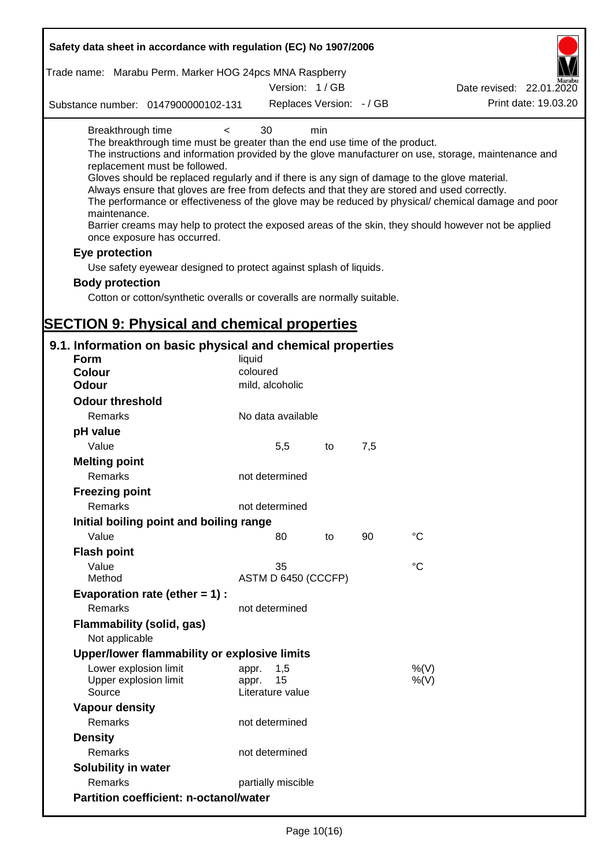| Safety data sheet in accordance with regulation (EC) No 1907/2006                                                                                                                                                                                                                                                                                                                                                                                                                                    |                                                 |     |     |                                                                                                                                                                                                            |
|------------------------------------------------------------------------------------------------------------------------------------------------------------------------------------------------------------------------------------------------------------------------------------------------------------------------------------------------------------------------------------------------------------------------------------------------------------------------------------------------------|-------------------------------------------------|-----|-----|------------------------------------------------------------------------------------------------------------------------------------------------------------------------------------------------------------|
| Trade name: Marabu Perm. Marker HOG 24pcs MNA Raspberry                                                                                                                                                                                                                                                                                                                                                                                                                                              | Version: 1/GB                                   |     |     | Date revised: 22.01.2020                                                                                                                                                                                   |
|                                                                                                                                                                                                                                                                                                                                                                                                                                                                                                      | Replaces Version: - / GB                        |     |     | Print date: 19.03.20                                                                                                                                                                                       |
| Substance number: 0147900000102-131                                                                                                                                                                                                                                                                                                                                                                                                                                                                  |                                                 |     |     |                                                                                                                                                                                                            |
| Breakthrough time<br>$\,<\,$<br>The breakthrough time must be greater than the end use time of the product.<br>replacement must be followed.<br>Gloves should be replaced regularly and if there is any sign of damage to the glove material.<br>Always ensure that gloves are free from defects and that they are stored and used correctly.<br>maintenance.<br>Barrier creams may help to protect the exposed areas of the skin, they should however not be applied<br>once exposure has occurred. | 30                                              | min |     | The instructions and information provided by the glove manufacturer on use, storage, maintenance and<br>The performance or effectiveness of the glove may be reduced by physical/ chemical damage and poor |
| Eye protection                                                                                                                                                                                                                                                                                                                                                                                                                                                                                       |                                                 |     |     |                                                                                                                                                                                                            |
| Use safety eyewear designed to protect against splash of liquids.                                                                                                                                                                                                                                                                                                                                                                                                                                    |                                                 |     |     |                                                                                                                                                                                                            |
| <b>Body protection</b>                                                                                                                                                                                                                                                                                                                                                                                                                                                                               |                                                 |     |     |                                                                                                                                                                                                            |
| Cotton or cotton/synthetic overalls or coveralls are normally suitable.                                                                                                                                                                                                                                                                                                                                                                                                                              |                                                 |     |     |                                                                                                                                                                                                            |
|                                                                                                                                                                                                                                                                                                                                                                                                                                                                                                      |                                                 |     |     |                                                                                                                                                                                                            |
| <b>SECTION 9: Physical and chemical properties</b>                                                                                                                                                                                                                                                                                                                                                                                                                                                   |                                                 |     |     |                                                                                                                                                                                                            |
| 9.1. Information on basic physical and chemical properties                                                                                                                                                                                                                                                                                                                                                                                                                                           |                                                 |     |     |                                                                                                                                                                                                            |
| Form                                                                                                                                                                                                                                                                                                                                                                                                                                                                                                 | liquid                                          |     |     |                                                                                                                                                                                                            |
| <b>Colour</b><br><b>Odour</b>                                                                                                                                                                                                                                                                                                                                                                                                                                                                        | coloured                                        |     |     |                                                                                                                                                                                                            |
|                                                                                                                                                                                                                                                                                                                                                                                                                                                                                                      | mild, alcoholic                                 |     |     |                                                                                                                                                                                                            |
| <b>Odour threshold</b>                                                                                                                                                                                                                                                                                                                                                                                                                                                                               |                                                 |     |     |                                                                                                                                                                                                            |
| Remarks                                                                                                                                                                                                                                                                                                                                                                                                                                                                                              | No data available                               |     |     |                                                                                                                                                                                                            |
| pH value                                                                                                                                                                                                                                                                                                                                                                                                                                                                                             |                                                 |     |     |                                                                                                                                                                                                            |
| Value                                                                                                                                                                                                                                                                                                                                                                                                                                                                                                | 5,5                                             | to  | 7,5 |                                                                                                                                                                                                            |
| <b>Melting point</b><br>Remarks                                                                                                                                                                                                                                                                                                                                                                                                                                                                      | not determined                                  |     |     |                                                                                                                                                                                                            |
| <b>Freezing point</b>                                                                                                                                                                                                                                                                                                                                                                                                                                                                                |                                                 |     |     |                                                                                                                                                                                                            |
| Remarks                                                                                                                                                                                                                                                                                                                                                                                                                                                                                              | not determined                                  |     |     |                                                                                                                                                                                                            |
| Initial boiling point and boiling range                                                                                                                                                                                                                                                                                                                                                                                                                                                              |                                                 |     |     |                                                                                                                                                                                                            |
| Value                                                                                                                                                                                                                                                                                                                                                                                                                                                                                                | 80                                              | to  | 90  | $\rm ^{\circ}C$                                                                                                                                                                                            |
| <b>Flash point</b>                                                                                                                                                                                                                                                                                                                                                                                                                                                                                   |                                                 |     |     |                                                                                                                                                                                                            |
| Value                                                                                                                                                                                                                                                                                                                                                                                                                                                                                                | 35                                              |     |     | °C                                                                                                                                                                                                         |
| Method                                                                                                                                                                                                                                                                                                                                                                                                                                                                                               | ASTM D 6450 (CCCFP)                             |     |     |                                                                                                                                                                                                            |
| Evaporation rate (ether $= 1$ ) :                                                                                                                                                                                                                                                                                                                                                                                                                                                                    |                                                 |     |     |                                                                                                                                                                                                            |
| Remarks                                                                                                                                                                                                                                                                                                                                                                                                                                                                                              | not determined                                  |     |     |                                                                                                                                                                                                            |
| <b>Flammability (solid, gas)</b><br>Not applicable                                                                                                                                                                                                                                                                                                                                                                                                                                                   |                                                 |     |     |                                                                                                                                                                                                            |
| Upper/lower flammability or explosive limits                                                                                                                                                                                                                                                                                                                                                                                                                                                         |                                                 |     |     |                                                                                                                                                                                                            |
| Lower explosion limit<br>Upper explosion limit<br>Source                                                                                                                                                                                                                                                                                                                                                                                                                                             | 1,5<br>appr.<br>15<br>appr.<br>Literature value |     |     | %(V)<br>$%$ (V)                                                                                                                                                                                            |
| <b>Vapour density</b>                                                                                                                                                                                                                                                                                                                                                                                                                                                                                |                                                 |     |     |                                                                                                                                                                                                            |
| Remarks                                                                                                                                                                                                                                                                                                                                                                                                                                                                                              | not determined                                  |     |     |                                                                                                                                                                                                            |
| <b>Density</b>                                                                                                                                                                                                                                                                                                                                                                                                                                                                                       |                                                 |     |     |                                                                                                                                                                                                            |
| Remarks                                                                                                                                                                                                                                                                                                                                                                                                                                                                                              | not determined                                  |     |     |                                                                                                                                                                                                            |
| Solubility in water                                                                                                                                                                                                                                                                                                                                                                                                                                                                                  |                                                 |     |     |                                                                                                                                                                                                            |
| Remarks                                                                                                                                                                                                                                                                                                                                                                                                                                                                                              | partially miscible                              |     |     |                                                                                                                                                                                                            |
| <b>Partition coefficient: n-octanol/water</b>                                                                                                                                                                                                                                                                                                                                                                                                                                                        |                                                 |     |     |                                                                                                                                                                                                            |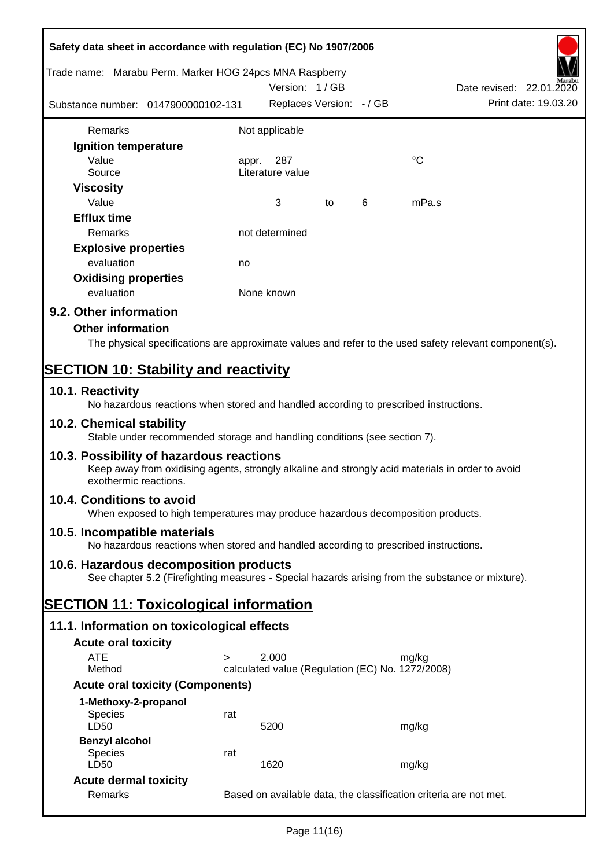| Safety data sheet in accordance with regulation (EC) No 1907/2006 |                                                                                                                                                                       |                                                                   |    |   |             |                                                                                                        |  |
|-------------------------------------------------------------------|-----------------------------------------------------------------------------------------------------------------------------------------------------------------------|-------------------------------------------------------------------|----|---|-------------|--------------------------------------------------------------------------------------------------------|--|
| Trade name: Marabu Perm. Marker HOG 24pcs MNA Raspberry           |                                                                                                                                                                       | Version: 1/GB                                                     |    |   |             | Date revised: 22.01.2020                                                                               |  |
| Substance number: 0147900000102-131                               |                                                                                                                                                                       | Replaces Version: - / GB                                          |    |   |             | Print date: 19.03.20                                                                                   |  |
| Remarks                                                           |                                                                                                                                                                       | Not applicable                                                    |    |   |             |                                                                                                        |  |
| Ignition temperature                                              |                                                                                                                                                                       |                                                                   |    |   |             |                                                                                                        |  |
| Value                                                             | appr.                                                                                                                                                                 | 287                                                               |    |   | $^{\circ}C$ |                                                                                                        |  |
| Source                                                            |                                                                                                                                                                       | Literature value                                                  |    |   |             |                                                                                                        |  |
| <b>Viscosity</b>                                                  |                                                                                                                                                                       |                                                                   |    |   |             |                                                                                                        |  |
| Value                                                             |                                                                                                                                                                       | 3                                                                 | to | 6 | mPa.s       |                                                                                                        |  |
| <b>Efflux time</b>                                                |                                                                                                                                                                       |                                                                   |    |   |             |                                                                                                        |  |
| Remarks                                                           |                                                                                                                                                                       | not determined                                                    |    |   |             |                                                                                                        |  |
| <b>Explosive properties</b>                                       |                                                                                                                                                                       |                                                                   |    |   |             |                                                                                                        |  |
| evaluation                                                        | no                                                                                                                                                                    |                                                                   |    |   |             |                                                                                                        |  |
| <b>Oxidising properties</b>                                       |                                                                                                                                                                       |                                                                   |    |   |             |                                                                                                        |  |
| evaluation                                                        |                                                                                                                                                                       | None known                                                        |    |   |             |                                                                                                        |  |
| 9.2. Other information                                            |                                                                                                                                                                       |                                                                   |    |   |             |                                                                                                        |  |
| <b>Other information</b>                                          |                                                                                                                                                                       |                                                                   |    |   |             |                                                                                                        |  |
|                                                                   |                                                                                                                                                                       |                                                                   |    |   |             | The physical specifications are approximate values and refer to the used safety relevant component(s). |  |
|                                                                   |                                                                                                                                                                       |                                                                   |    |   |             |                                                                                                        |  |
| <b>SECTION 10: Stability and reactivity</b>                       |                                                                                                                                                                       |                                                                   |    |   |             |                                                                                                        |  |
| 10.1. Reactivity                                                  | No hazardous reactions when stored and handled according to prescribed instructions.                                                                                  |                                                                   |    |   |             |                                                                                                        |  |
| 10.2. Chemical stability                                          | Stable under recommended storage and handling conditions (see section 7).                                                                                             |                                                                   |    |   |             |                                                                                                        |  |
|                                                                   | 10.3. Possibility of hazardous reactions<br>Keep away from oxidising agents, strongly alkaline and strongly acid materials in order to avoid<br>exothermic reactions. |                                                                   |    |   |             |                                                                                                        |  |
| 10.4. Conditions to avoid                                         | When exposed to high temperatures may produce hazardous decomposition products.                                                                                       |                                                                   |    |   |             |                                                                                                        |  |
| 10.5. Incompatible materials                                      | No hazardous reactions when stored and handled according to prescribed instructions.                                                                                  |                                                                   |    |   |             |                                                                                                        |  |
|                                                                   | 10.6. Hazardous decomposition products                                                                                                                                |                                                                   |    |   |             |                                                                                                        |  |
|                                                                   | See chapter 5.2 (Firefighting measures - Special hazards arising from the substance or mixture).                                                                      |                                                                   |    |   |             |                                                                                                        |  |
| <b>SECTION 11: Toxicological information</b>                      |                                                                                                                                                                       |                                                                   |    |   |             |                                                                                                        |  |
|                                                                   | 11.1. Information on toxicological effects                                                                                                                            |                                                                   |    |   |             |                                                                                                        |  |
| <b>Acute oral toxicity</b>                                        |                                                                                                                                                                       |                                                                   |    |   |             |                                                                                                        |  |
| <b>ATE</b>                                                        | $\geq$                                                                                                                                                                | 2.000                                                             |    |   | mg/kg       |                                                                                                        |  |
| Method                                                            |                                                                                                                                                                       | calculated value (Regulation (EC) No. 1272/2008)                  |    |   |             |                                                                                                        |  |
|                                                                   | <b>Acute oral toxicity (Components)</b>                                                                                                                               |                                                                   |    |   |             |                                                                                                        |  |
| 1-Methoxy-2-propanol                                              |                                                                                                                                                                       |                                                                   |    |   |             |                                                                                                        |  |
| <b>Species</b>                                                    | rat                                                                                                                                                                   |                                                                   |    |   |             |                                                                                                        |  |
| LD50                                                              |                                                                                                                                                                       | 5200                                                              |    |   | mg/kg       |                                                                                                        |  |
| <b>Benzyl alcohol</b><br><b>Species</b>                           | rat                                                                                                                                                                   |                                                                   |    |   |             |                                                                                                        |  |
| LD50                                                              |                                                                                                                                                                       | 1620                                                              |    |   | mg/kg       |                                                                                                        |  |
| <b>Acute dermal toxicity</b>                                      |                                                                                                                                                                       |                                                                   |    |   |             |                                                                                                        |  |
| Remarks                                                           |                                                                                                                                                                       | Based on available data, the classification criteria are not met. |    |   |             |                                                                                                        |  |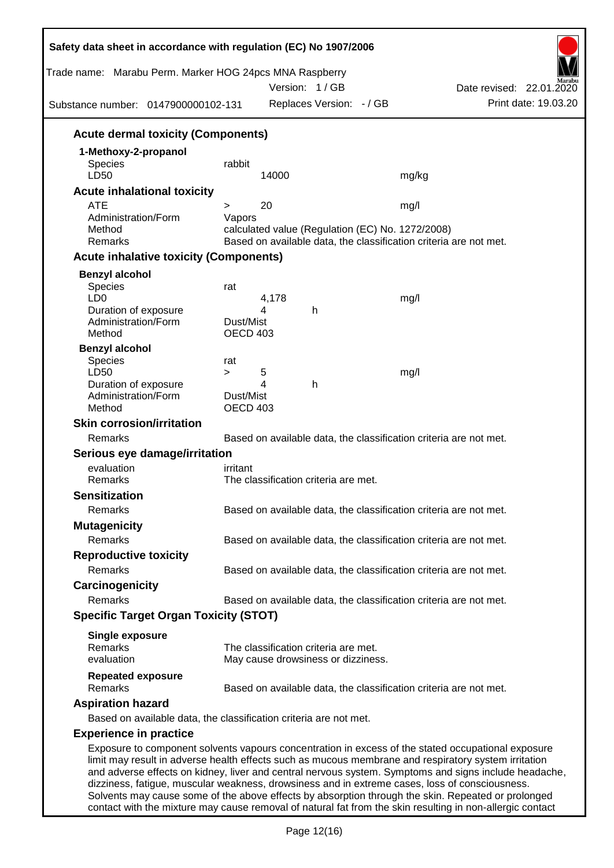| Trade name: Marabu Perm. Marker HOG 24pcs MNA Raspberry<br>Substance number: 0147900000102-131                                                                                                         |                 |       | Version: 1/GB<br>Replaces Version: - / GB |                                                  | Date revised: 22.01.2020<br>Print date: 19.03.20                                                                                                                                                            |
|--------------------------------------------------------------------------------------------------------------------------------------------------------------------------------------------------------|-----------------|-------|-------------------------------------------|--------------------------------------------------|-------------------------------------------------------------------------------------------------------------------------------------------------------------------------------------------------------------|
| <b>Acute dermal toxicity (Components)</b>                                                                                                                                                              |                 |       |                                           |                                                  |                                                                                                                                                                                                             |
| 1-Methoxy-2-propanol                                                                                                                                                                                   |                 |       |                                           |                                                  |                                                                                                                                                                                                             |
| Species                                                                                                                                                                                                | rabbit          |       |                                           |                                                  |                                                                                                                                                                                                             |
| LD50                                                                                                                                                                                                   |                 | 14000 |                                           | mg/kg                                            |                                                                                                                                                                                                             |
| <b>Acute inhalational toxicity</b>                                                                                                                                                                     |                 |       |                                           |                                                  |                                                                                                                                                                                                             |
| <b>ATE</b><br>Administration/Form                                                                                                                                                                      | ><br>Vapors     | 20    |                                           | mg/l                                             |                                                                                                                                                                                                             |
| Method                                                                                                                                                                                                 |                 |       |                                           | calculated value (Regulation (EC) No. 1272/2008) |                                                                                                                                                                                                             |
| Remarks                                                                                                                                                                                                |                 |       |                                           |                                                  | Based on available data, the classification criteria are not met.                                                                                                                                           |
| <b>Acute inhalative toxicity (Components)</b>                                                                                                                                                          |                 |       |                                           |                                                  |                                                                                                                                                                                                             |
| <b>Benzyl alcohol</b>                                                                                                                                                                                  |                 |       |                                           |                                                  |                                                                                                                                                                                                             |
| Species                                                                                                                                                                                                | rat             |       |                                           |                                                  |                                                                                                                                                                                                             |
| LD <sub>0</sub>                                                                                                                                                                                        |                 | 4,178 |                                           | mg/l                                             |                                                                                                                                                                                                             |
| Duration of exposure<br>Administration/Form                                                                                                                                                            | Dust/Mist       | 4     | h                                         |                                                  |                                                                                                                                                                                                             |
| Method                                                                                                                                                                                                 | <b>OECD 403</b> |       |                                           |                                                  |                                                                                                                                                                                                             |
| <b>Benzyl alcohol</b>                                                                                                                                                                                  |                 |       |                                           |                                                  |                                                                                                                                                                                                             |
| Species                                                                                                                                                                                                | rat             |       |                                           |                                                  |                                                                                                                                                                                                             |
| LD50                                                                                                                                                                                                   | $\geq$          | 5     |                                           | mg/l                                             |                                                                                                                                                                                                             |
| Duration of exposure<br>Administration/Form                                                                                                                                                            | Dust/Mist       | 4     | h                                         |                                                  |                                                                                                                                                                                                             |
| Method                                                                                                                                                                                                 | <b>OECD 403</b> |       |                                           |                                                  |                                                                                                                                                                                                             |
| <b>Skin corrosion/irritation</b>                                                                                                                                                                       |                 |       |                                           |                                                  |                                                                                                                                                                                                             |
| Remarks                                                                                                                                                                                                |                 |       |                                           |                                                  | Based on available data, the classification criteria are not met.                                                                                                                                           |
| Serious eye damage/irritation                                                                                                                                                                          |                 |       |                                           |                                                  |                                                                                                                                                                                                             |
| evaluation                                                                                                                                                                                             | irritant        |       |                                           |                                                  |                                                                                                                                                                                                             |
| Remarks                                                                                                                                                                                                |                 |       | The classification criteria are met.      |                                                  |                                                                                                                                                                                                             |
| <b>Sensitization</b>                                                                                                                                                                                   |                 |       |                                           |                                                  |                                                                                                                                                                                                             |
| Remarks                                                                                                                                                                                                |                 |       |                                           |                                                  | Based on available data, the classification criteria are not met.                                                                                                                                           |
| <b>Mutagenicity</b>                                                                                                                                                                                    |                 |       |                                           |                                                  |                                                                                                                                                                                                             |
| Remarks                                                                                                                                                                                                |                 |       |                                           |                                                  | Based on available data, the classification criteria are not met.                                                                                                                                           |
| <b>Reproductive toxicity</b>                                                                                                                                                                           |                 |       |                                           |                                                  |                                                                                                                                                                                                             |
| Remarks                                                                                                                                                                                                |                 |       |                                           |                                                  | Based on available data, the classification criteria are not met.                                                                                                                                           |
| Carcinogenicity                                                                                                                                                                                        |                 |       |                                           |                                                  |                                                                                                                                                                                                             |
| Remarks                                                                                                                                                                                                |                 |       |                                           |                                                  | Based on available data, the classification criteria are not met.                                                                                                                                           |
| <b>Specific Target Organ Toxicity (STOT)</b>                                                                                                                                                           |                 |       |                                           |                                                  |                                                                                                                                                                                                             |
| <b>Single exposure</b>                                                                                                                                                                                 |                 |       |                                           |                                                  |                                                                                                                                                                                                             |
| Remarks                                                                                                                                                                                                |                 |       | The classification criteria are met.      |                                                  |                                                                                                                                                                                                             |
| evaluation                                                                                                                                                                                             |                 |       | May cause drowsiness or dizziness.        |                                                  |                                                                                                                                                                                                             |
| <b>Repeated exposure</b><br>Remarks                                                                                                                                                                    |                 |       |                                           |                                                  |                                                                                                                                                                                                             |
|                                                                                                                                                                                                        |                 |       |                                           |                                                  | Based on available data, the classification criteria are not met.                                                                                                                                           |
| <b>Aspiration hazard</b>                                                                                                                                                                               |                 |       |                                           |                                                  |                                                                                                                                                                                                             |
| Based on available data, the classification criteria are not met.                                                                                                                                      |                 |       |                                           |                                                  |                                                                                                                                                                                                             |
| <b>Experience in practice</b>                                                                                                                                                                          |                 |       |                                           |                                                  |                                                                                                                                                                                                             |
| limit may result in adverse health effects such as mucous membrane and respiratory system irritation<br>dizziness, fatigue, muscular weakness, drowsiness and in extreme cases, loss of consciousness. |                 |       |                                           |                                                  | Exposure to component solvents vapours concentration in excess of the stated occupational exposure<br>and adverse effects on kidney, liver and central nervous system. Symptoms and signs include headache, |

Solvents may cause some of the above effects by absorption through the skin. Repeated or prolonged contact with the mixture may cause removal of natural fat from the skin resulting in non-allergic contact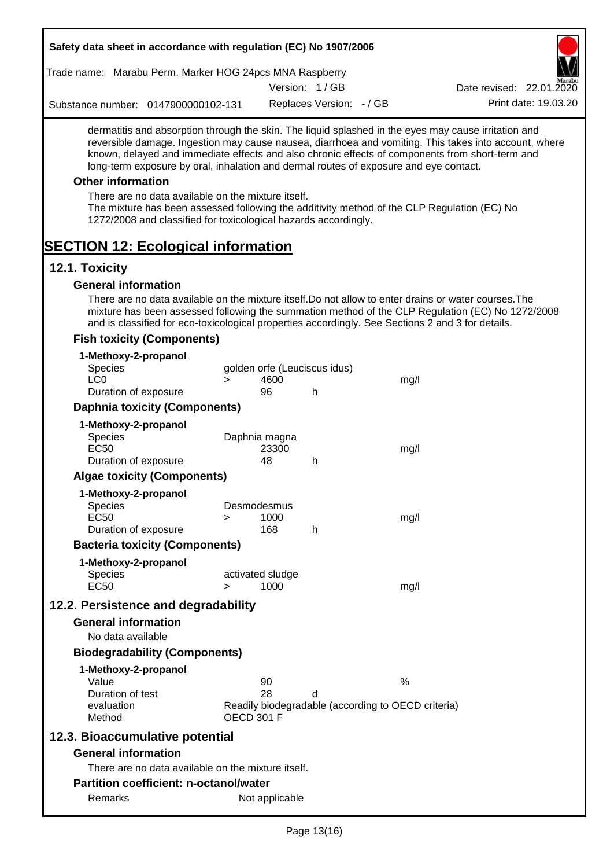| Trade name: Marabu Perm. Marker HOG 24pcs MNA Raspberry                                                                                                                                                                                                                                          |                   |                            |                              |                                                    | W                                                                                                     |
|--------------------------------------------------------------------------------------------------------------------------------------------------------------------------------------------------------------------------------------------------------------------------------------------------|-------------------|----------------------------|------------------------------|----------------------------------------------------|-------------------------------------------------------------------------------------------------------|
|                                                                                                                                                                                                                                                                                                  |                   |                            | Version: 1/GB                |                                                    | Date revised: 22.01.2020                                                                              |
| Substance number: 0147900000102-131                                                                                                                                                                                                                                                              |                   |                            | Replaces Version: - / GB     |                                                    | Print date: 19.03.20                                                                                  |
| dermatitis and absorption through the skin. The liquid splashed in the eyes may cause irritation and<br>known, delayed and immediate effects and also chronic effects of components from short-term and<br>long-term exposure by oral, inhalation and dermal routes of exposure and eye contact. |                   |                            |                              |                                                    | reversible damage. Ingestion may cause nausea, diarrhoea and vomiting. This takes into account, where |
| <b>Other information</b>                                                                                                                                                                                                                                                                         |                   |                            |                              |                                                    |                                                                                                       |
| There are no data available on the mixture itself.<br>The mixture has been assessed following the additivity method of the CLP Regulation (EC) No<br>1272/2008 and classified for toxicological hazards accordingly.                                                                             |                   |                            |                              |                                                    |                                                                                                       |
| <b>SECTION 12: Ecological information</b>                                                                                                                                                                                                                                                        |                   |                            |                              |                                                    |                                                                                                       |
| 12.1. Toxicity                                                                                                                                                                                                                                                                                   |                   |                            |                              |                                                    |                                                                                                       |
| <b>General information</b>                                                                                                                                                                                                                                                                       |                   |                            |                              |                                                    |                                                                                                       |
| There are no data available on the mixture itself. Do not allow to enter drains or water courses. The<br>and is classified for eco-toxicological properties accordingly. See Sections 2 and 3 for details.                                                                                       |                   |                            |                              |                                                    | mixture has been assessed following the summation method of the CLP Regulation (EC) No 1272/2008      |
| <b>Fish toxicity (Components)</b>                                                                                                                                                                                                                                                                |                   |                            |                              |                                                    |                                                                                                       |
| 1-Methoxy-2-propanol<br>Species<br>LC <sub>0</sub>                                                                                                                                                                                                                                               | $\geq$            | 4600                       | golden orfe (Leuciscus idus) | mg/l                                               |                                                                                                       |
| Duration of exposure                                                                                                                                                                                                                                                                             |                   | 96                         | h                            |                                                    |                                                                                                       |
| <b>Daphnia toxicity (Components)</b>                                                                                                                                                                                                                                                             |                   |                            |                              |                                                    |                                                                                                       |
| 1-Methoxy-2-propanol<br>Species<br><b>EC50</b>                                                                                                                                                                                                                                                   |                   | Daphnia magna<br>23300     |                              | mg/l                                               |                                                                                                       |
| Duration of exposure                                                                                                                                                                                                                                                                             |                   | 48                         | h                            |                                                    |                                                                                                       |
| <b>Algae toxicity (Components)</b>                                                                                                                                                                                                                                                               |                   |                            |                              |                                                    |                                                                                                       |
| 1-Methoxy-2-propanol<br>Species<br><b>EC50</b><br>Duration of exposure                                                                                                                                                                                                                           | >                 | Desmodesmus<br>1000<br>168 | h                            | mg/l                                               |                                                                                                       |
| <b>Bacteria toxicity (Components)</b>                                                                                                                                                                                                                                                            |                   |                            |                              |                                                    |                                                                                                       |
| 1-Methoxy-2-propanol                                                                                                                                                                                                                                                                             |                   |                            |                              |                                                    |                                                                                                       |
| Species<br><b>EC50</b>                                                                                                                                                                                                                                                                           | $\geq$            | activated sludge<br>1000   |                              | mg/l                                               |                                                                                                       |
| 12.2. Persistence and degradability                                                                                                                                                                                                                                                              |                   |                            |                              |                                                    |                                                                                                       |
| <b>General information</b><br>No data available                                                                                                                                                                                                                                                  |                   |                            |                              |                                                    |                                                                                                       |
| <b>Biodegradability (Components)</b>                                                                                                                                                                                                                                                             |                   |                            |                              |                                                    |                                                                                                       |
| 1-Methoxy-2-propanol                                                                                                                                                                                                                                                                             |                   |                            |                              |                                                    |                                                                                                       |
| Value                                                                                                                                                                                                                                                                                            |                   | 90                         |                              | %                                                  |                                                                                                       |
| Duration of test<br>evaluation<br>Method                                                                                                                                                                                                                                                         | <b>OECD 301 F</b> | 28                         | d                            | Readily biodegradable (according to OECD criteria) |                                                                                                       |
| 12.3. Bioaccumulative potential                                                                                                                                                                                                                                                                  |                   |                            |                              |                                                    |                                                                                                       |
| <b>General information</b>                                                                                                                                                                                                                                                                       |                   |                            |                              |                                                    |                                                                                                       |
| There are no data available on the mixture itself.                                                                                                                                                                                                                                               |                   |                            |                              |                                                    |                                                                                                       |
| <b>Partition coefficient: n-octanol/water</b>                                                                                                                                                                                                                                                    |                   |                            |                              |                                                    |                                                                                                       |
| Remarks                                                                                                                                                                                                                                                                                          |                   | Not applicable             |                              |                                                    |                                                                                                       |
|                                                                                                                                                                                                                                                                                                  |                   |                            | $D_{\text{max}}$ 49/40)      |                                                    |                                                                                                       |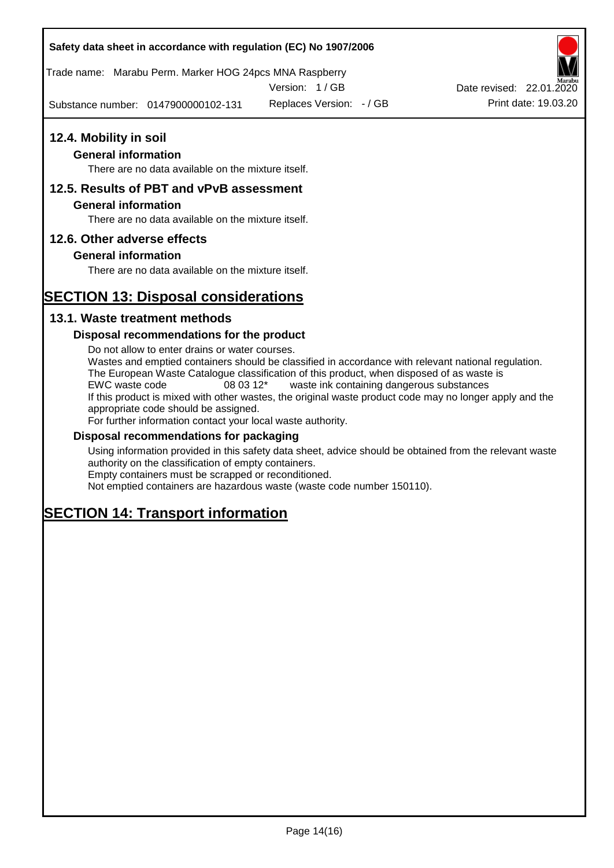Trade name: Marabu Perm. Marker HOG 24pcs MNA Raspberry

Version: 1 / GB

Substance number: 0147900000102-131

Replaces Version:  $-$  / GB Print date: 19.03.20 Date revised: 22.01.2020

# **12.4. Mobility in soil**

# **General information**

There are no data available on the mixture itself.

# **12.5. Results of PBT and vPvB assessment**

# **General information**

There are no data available on the mixture itself.

# **12.6. Other adverse effects**

# **General information**

There are no data available on the mixture itself.

# **SECTION 13: Disposal considerations**

# **13.1. Waste treatment methods**

# **Disposal recommendations for the product**

Do not allow to enter drains or water courses. Wastes and emptied containers should be classified in accordance with relevant national regulation. The European Waste Catalogue classification of this product, when disposed of as waste is EWC waste code 08 03 12\* waste ink containing dangerous substances If this product is mixed with other wastes, the original waste product code may no longer apply and the appropriate code should be assigned. For further information contact your local waste authority.

# **Disposal recommendations for packaging**

Using information provided in this safety data sheet, advice should be obtained from the relevant waste authority on the classification of empty containers. Empty containers must be scrapped or reconditioned.

Not emptied containers are hazardous waste (waste code number 150110).

# **SECTION 14: Transport information**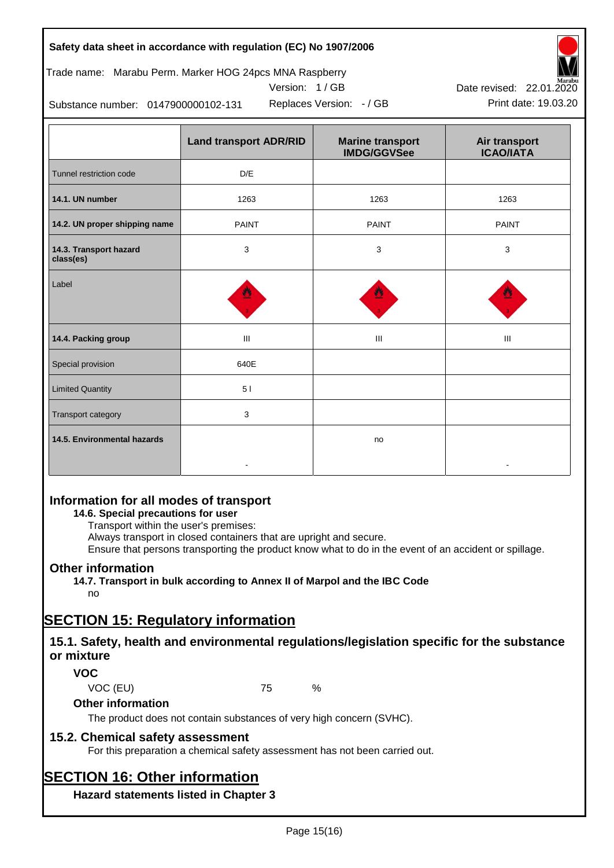# Trade name: Marabu Perm. Marker HOG 24pcs MNA Raspberry





Substance number: 0147900000102-131

|                                     | <b>Land transport ADR/RID</b> | <b>Marine transport</b><br><b>IMDG/GGVSee</b> | Air transport<br><b>ICAO/IATA</b> |
|-------------------------------------|-------------------------------|-----------------------------------------------|-----------------------------------|
| Tunnel restriction code             | D/E                           |                                               |                                   |
| 14.1. UN number                     | 1263                          | 1263                                          | 1263                              |
| 14.2. UN proper shipping name       | <b>PAINT</b>                  | <b>PAINT</b>                                  | <b>PAINT</b>                      |
| 14.3. Transport hazard<br>class(es) | 3                             | 3                                             | 3                                 |
| Label                               |                               |                                               |                                   |
| 14.4. Packing group                 | Ш                             | Ш                                             | Ш                                 |
| Special provision                   | 640E                          |                                               |                                   |
| <b>Limited Quantity</b>             | 5 <sub>1</sub>                |                                               |                                   |
| Transport category                  | 3                             |                                               |                                   |
| 14.5. Environmental hazards         |                               | no                                            |                                   |

# **Information for all modes of transport**

# **14.6. Special precautions for user**

Transport within the user's premises:

Always transport in closed containers that are upright and secure.

Ensure that persons transporting the product know what to do in the event of an accident or spillage.

# **Other information**

**14.7. Transport in bulk according to Annex II of Marpol and the IBC Code** no

# **SECTION 15: Regulatory information**

# **15.1. Safety, health and environmental regulations/legislation specific for the substance or mixture**

# **VOC**

VOC (EU) 75 %

# **Other information**

The product does not contain substances of very high concern (SVHC).

# **15.2. Chemical safety assessment**

For this preparation a chemical safety assessment has not been carried out.

# **SECTION 16: Other information**

**Hazard statements listed in Chapter 3**